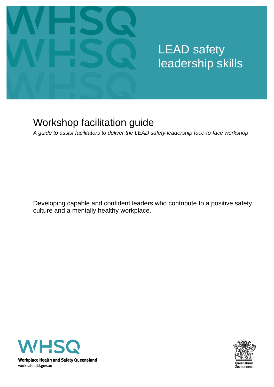

# LEAD safety leadership skills

## Workshop facilitation guide

*A guide to assist facilitators to deliver the LEAD safety leadership face-to-face workshop*

Developing capable and confident leaders who contribute to a positive safety culture and a mentally healthy workplace.



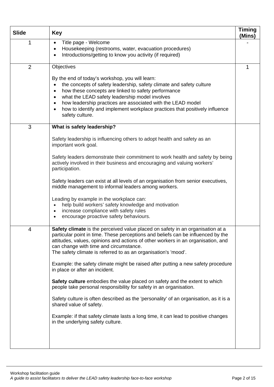| <b>Slide</b>   | <b>Key</b>                                                                                                                                                                                                                                                                                                                                                                                                                                    | <b>Timing</b><br>(Mins) |
|----------------|-----------------------------------------------------------------------------------------------------------------------------------------------------------------------------------------------------------------------------------------------------------------------------------------------------------------------------------------------------------------------------------------------------------------------------------------------|-------------------------|
| 1              | Title page - Welcome<br>$\bullet$<br>Housekeeping (restrooms, water, evacuation procedures)<br>٠<br>Introductions/getting to know you activity (if required)<br>٠                                                                                                                                                                                                                                                                             |                         |
| $\overline{2}$ | Objectives                                                                                                                                                                                                                                                                                                                                                                                                                                    | 1                       |
|                | By the end of today's workshop, you will learn:<br>the concepts of safety leadership, safety climate and safety culture<br>how these concepts are linked to safety performance<br>٠<br>what the LEAD safety leadership model involves<br>$\bullet$<br>how leadership practices are associated with the LEAD model<br>$\bullet$<br>how to identify and implement workplace practices that positively influence<br>$\bullet$<br>safety culture. |                         |
| 3              | What is safety leadership?                                                                                                                                                                                                                                                                                                                                                                                                                    |                         |
|                | Safety leadership is influencing others to adopt health and safety as an<br>important work goal.                                                                                                                                                                                                                                                                                                                                              |                         |
|                | Safety leaders demonstrate their commitment to work health and safety by being<br>actively involved in their business and encouraging and valuing workers'<br>participation.                                                                                                                                                                                                                                                                  |                         |
|                | Safety leaders can exist at all levels of an organisation from senior executives,<br>middle management to informal leaders among workers.                                                                                                                                                                                                                                                                                                     |                         |
|                | Leading by example in the workplace can:<br>help build workers' safety knowledge and motivation<br>increase compliance with safety rules<br>٠<br>encourage proactive safety behaviours.<br>٠                                                                                                                                                                                                                                                  |                         |
| 4              | Safety climate is the perceived value placed on safety in an organisation at a<br>particular point in time. These perceptions and beliefs can be influenced by the<br>attitudes, values, opinions and actions of other workers in an organisation, and<br>can change with time and circumstance.<br>The safety climate is referred to as an organisation's 'mood'.                                                                            |                         |
|                | Example: the safety climate might be raised after putting a new safety procedure<br>in place or after an incident.                                                                                                                                                                                                                                                                                                                            |                         |
|                | Safety culture embodies the value placed on safety and the extent to which<br>people take personal responsibility for safety in an organisation.                                                                                                                                                                                                                                                                                              |                         |
|                | Safety culture is often described as the 'personality' of an organisation, as it is a<br>shared value of safety.                                                                                                                                                                                                                                                                                                                              |                         |
|                | Example: if that safety climate lasts a long time, it can lead to positive changes<br>in the underlying safety culture.                                                                                                                                                                                                                                                                                                                       |                         |
|                |                                                                                                                                                                                                                                                                                                                                                                                                                                               |                         |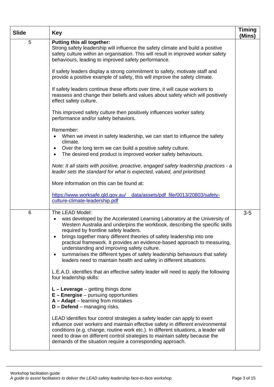| <b>Slide</b> | <b>Key</b>                                                                                                                                                                                                                                                                                                                                                                                                                                                                                                                                                                                   | <b>Timing</b><br>(Mins) |
|--------------|----------------------------------------------------------------------------------------------------------------------------------------------------------------------------------------------------------------------------------------------------------------------------------------------------------------------------------------------------------------------------------------------------------------------------------------------------------------------------------------------------------------------------------------------------------------------------------------------|-------------------------|
| 5            | <b>Putting this all together:</b><br>Strong safety leadership will influence the safety climate and build a positive<br>safety culture within an organisation. This will result in improved worker safety<br>behaviours, leading to improved safety performance.                                                                                                                                                                                                                                                                                                                             |                         |
|              | If safety leaders display a strong commitment to safety, motivate staff and<br>provide a positive example of safety, this will improve the safety climate.                                                                                                                                                                                                                                                                                                                                                                                                                                   |                         |
|              | If safety leaders continue these efforts over time, it will cause workers to<br>reassess and change their beliefs and values about safety which will positively<br>effect safety culture.                                                                                                                                                                                                                                                                                                                                                                                                    |                         |
|              | This improved safety culture then positively influences worker safety<br>performance and/or safety behaviors.                                                                                                                                                                                                                                                                                                                                                                                                                                                                                |                         |
|              | Remember:<br>When we invest in safety leadership, we can start to influence the safety<br>climate.<br>Over the long term we can build a positive safety culture.<br>٠<br>The desired end product is improved worker safety behaviours.<br>$\bullet$                                                                                                                                                                                                                                                                                                                                          |                         |
|              | Note: It all starts with positive, proactive, engaged safety leadership practices - a<br>leader sets the standard for what is expected, valued, and prioritised.                                                                                                                                                                                                                                                                                                                                                                                                                             |                         |
|              | More information on this can be found at:                                                                                                                                                                                                                                                                                                                                                                                                                                                                                                                                                    |                         |
|              | https://www.worksafe.gld.gov.au/ data/assets/pdf file/0013/20803/safety-<br>culture-climate-leadership.pdf                                                                                                                                                                                                                                                                                                                                                                                                                                                                                   |                         |
| 6            | The LEAD Model:<br>was developed by the Accelerated Learning Laboratory at the University of<br>Western Australia and underpins the workbook, describing the specific skills<br>required by frontline safety leaders.<br>brings together many different theories of safety leadership into one<br>practical framework. It provides an evidence-based approach to measuring,<br>understanding and improving safety culture.<br>summarises the different types of safety leadership behaviours that safety<br>$\bullet$<br>leaders need to maintain health and safety in different situations. | $3-5$                   |
|              | L.E.A.D. identifies that an effective safety leader will need to apply the following<br>four leadership skills:                                                                                                                                                                                                                                                                                                                                                                                                                                                                              |                         |
|              | $L -$ Leverage $-$ getting things done<br>$E$ – Energise – pursuing opportunities<br>$A - Adapt - learning from mistakes$<br>$D$ – Defend – managing risks.                                                                                                                                                                                                                                                                                                                                                                                                                                  |                         |
|              | LEAD identifies four control strategies a safety leader can apply to exert<br>influence over workers and maintain effective safety in different environmental<br>conditions (e.g. change, routine work etc.). In different situations, a leader will<br>need to draw on different control strategies to maintain safety because the<br>demands of the situation require a corresponding approach.                                                                                                                                                                                            |                         |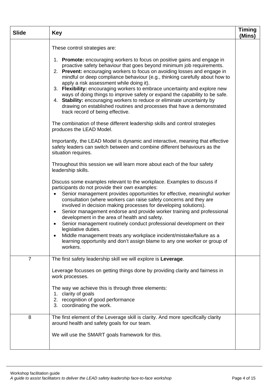| <b>Slide</b>   | <b>Key</b>                                                                                                                                                                                                                                                                                                                                                                                                                                                                                                                                                                                                                                                                                                                                                                                                                                                                                                                                                                                                                                                                                                                                                                                                                                                                                                                                                                                                                                                                                                                                                                                                                                                                                                                                                    | <b>Timing</b><br>(Mins) |
|----------------|---------------------------------------------------------------------------------------------------------------------------------------------------------------------------------------------------------------------------------------------------------------------------------------------------------------------------------------------------------------------------------------------------------------------------------------------------------------------------------------------------------------------------------------------------------------------------------------------------------------------------------------------------------------------------------------------------------------------------------------------------------------------------------------------------------------------------------------------------------------------------------------------------------------------------------------------------------------------------------------------------------------------------------------------------------------------------------------------------------------------------------------------------------------------------------------------------------------------------------------------------------------------------------------------------------------------------------------------------------------------------------------------------------------------------------------------------------------------------------------------------------------------------------------------------------------------------------------------------------------------------------------------------------------------------------------------------------------------------------------------------------------|-------------------------|
|                | These control strategies are:<br>1. Promote: encouraging workers to focus on positive gains and engage in<br>proactive safety behaviour that goes beyond minimum job requirements.<br>2. Prevent: encouraging workers to focus on avoiding losses and engage in<br>mindful or deep compliance behaviour (e.g., thinking carefully about how to<br>apply a risk assessment while doing it).<br>3. Flexibility: encouraging workers to embrace uncertainty and explore new<br>ways of doing things to improve safety or expand the capability to be safe.<br>4. Stability: encouraging workers to reduce or eliminate uncertainty by<br>drawing on established routines and processes that have a demonstrated<br>track record of being effective.<br>The combination of these different leadership skills and control strategies<br>produces the LEAD Model.<br>Importantly, the LEAD Model is dynamic and interactive, meaning that effective<br>safety leaders can switch between and combine different behaviours as the<br>situation requires.<br>Throughout this session we will learn more about each of the four safety<br>leadership skills.<br>Discuss some examples relevant to the workplace. Examples to discuss if<br>participants do not provide their own examples:<br>Senior management provides opportunities for effective, meaningful worker<br>consultation (where workers can raise safety concerns and they are<br>involved in decision making processes for developing solutions).<br>Senior management endorse and provide worker training and professional<br>$\bullet$<br>development in the area of health and safety.<br>Senior management routinely conduct professional development on their<br>$\bullet$<br>legislative duties. |                         |
|                | Middle management treats any workplace incident/mistake/failure as a<br>learning opportunity and don't assign blame to any one worker or group of<br>workers.                                                                                                                                                                                                                                                                                                                                                                                                                                                                                                                                                                                                                                                                                                                                                                                                                                                                                                                                                                                                                                                                                                                                                                                                                                                                                                                                                                                                                                                                                                                                                                                                 |                         |
| $\overline{7}$ | The first safety leadership skill we will explore is Leverage.<br>Leverage focusses on getting things done by providing clarity and fairness in<br>work processes.<br>The way we achieve this is through three elements:<br>1. clarity of goals<br>2. recognition of good performance<br>3. coordinating the work.                                                                                                                                                                                                                                                                                                                                                                                                                                                                                                                                                                                                                                                                                                                                                                                                                                                                                                                                                                                                                                                                                                                                                                                                                                                                                                                                                                                                                                            |                         |
| 8              | The first element of the Leverage skill is clarity. And more specifically clarity<br>around health and safety goals for our team.<br>We will use the SMART goals framework for this.                                                                                                                                                                                                                                                                                                                                                                                                                                                                                                                                                                                                                                                                                                                                                                                                                                                                                                                                                                                                                                                                                                                                                                                                                                                                                                                                                                                                                                                                                                                                                                          |                         |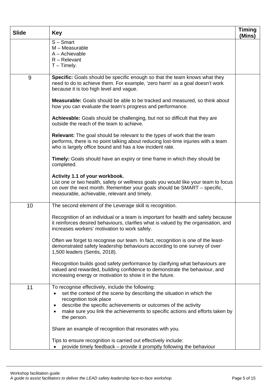| <b>Slide</b> | <b>Key</b>                                                                                                                                                                                                                                                                                                                           | <b>Timing</b><br>(Mins) |
|--------------|--------------------------------------------------------------------------------------------------------------------------------------------------------------------------------------------------------------------------------------------------------------------------------------------------------------------------------------|-------------------------|
|              | $S -$ Smart<br>M - Measurable<br>A - Achievable<br>$R -$ Relevant<br>$T -$ Timely.                                                                                                                                                                                                                                                   |                         |
| 9            | Specific: Goals should be specific enough so that the team knows what they<br>need to do to achieve them. For example, 'zero harm' as a goal doesn't work<br>because it is too high level and vague.                                                                                                                                 |                         |
|              | <b>Measurable:</b> Goals should be able to be tracked and measured, so think about<br>how you can evaluate the team's progress and performance.                                                                                                                                                                                      |                         |
|              | Achievable: Goals should be challenging, but not so difficult that they are<br>outside the reach of the team to achieve.                                                                                                                                                                                                             |                         |
|              | <b>Relevant:</b> The goal should be relevant to the types of work that the team<br>performs, there is no point talking about reducing lost-time injuries with a team<br>who is largely office bound and has a low incident rate.                                                                                                     |                         |
|              | Timely: Goals should have an expiry or time frame in which they should be<br>completed.                                                                                                                                                                                                                                              |                         |
|              | Activity 1.1 of your workbook.<br>List one or two health, safety or wellness goals you would like your team to focus<br>on over the next month. Remember your goals should be SMART - specific,<br>measurable, achievable, relevant and timely.                                                                                      |                         |
| 10           | The second element of the Leverage skill is recognition.                                                                                                                                                                                                                                                                             |                         |
|              | Recognition of an individual or a team is important for health and safety because<br>it reinforces desired behaviours, clarifies what is valued by the organisation, and<br>increases workers' motivation to work safely.                                                                                                            |                         |
|              | Often we forget to recognise our team. In fact, recognition is one of the least-<br>demonstrated safety leadership behaviours according to one survey of over<br>1,500 leaders (Sentis, 2018).                                                                                                                                       |                         |
|              | Recognition builds good safety performance by clarifying what behaviours are<br>valued and rewarded, building confidence to demonstrate the behaviour, and<br>increasing energy or motivation to show it in the future.                                                                                                              |                         |
| 11           | To recognise effectively, include the following:<br>set the context of the scene by describing the situation in which the<br>$\bullet$<br>recognition took place<br>describe the specific achievements or outcomes of the activity<br>٠<br>make sure you link the achievements to specific actions and efforts taken by<br>$\bullet$ |                         |
|              | the person.                                                                                                                                                                                                                                                                                                                          |                         |
|              | Share an example of recognition that resonates with you.                                                                                                                                                                                                                                                                             |                         |
|              | Tips to ensure recognition is carried out effectively include:<br>provide timely feedback – provide it promptly following the behaviour                                                                                                                                                                                              |                         |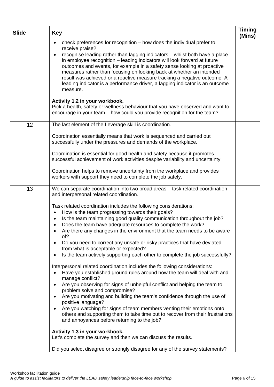| <b>Slide</b> | <b>Key</b>                                                                                                                                                                                                                                                                                                                                                                                                                                                                                                                                                                                                                                                                                                                                                                                                                                                                                                                                                                                                                                                                                                                                                                                                                                                                                                                                                                 | <b>Timing</b><br>(Mins) |
|--------------|----------------------------------------------------------------------------------------------------------------------------------------------------------------------------------------------------------------------------------------------------------------------------------------------------------------------------------------------------------------------------------------------------------------------------------------------------------------------------------------------------------------------------------------------------------------------------------------------------------------------------------------------------------------------------------------------------------------------------------------------------------------------------------------------------------------------------------------------------------------------------------------------------------------------------------------------------------------------------------------------------------------------------------------------------------------------------------------------------------------------------------------------------------------------------------------------------------------------------------------------------------------------------------------------------------------------------------------------------------------------------|-------------------------|
|              | check preferences for recognition - how does the individual prefer to<br>$\bullet$<br>receive praise?<br>recognise leading rather than lagging indicators - whilst both have a place<br>in employee recognition - leading indicators will look forward at future<br>outcomes and events, for example in a safety sense looking at proactive<br>measures rather than focusing on looking back at whether an intended<br>result was achieved or a reactive measure tracking a negative outcome. A<br>leading indicator is a performance driver, a lagging indicator is an outcome<br>measure.<br>Activity 1.2 in your workbook.<br>Pick a health, safety or wellness behaviour that you have observed and want to                                                                                                                                                                                                                                                                                                                                                                                                                                                                                                                                                                                                                                                            |                         |
|              | encourage in your team – how could you provide recognition for the team?                                                                                                                                                                                                                                                                                                                                                                                                                                                                                                                                                                                                                                                                                                                                                                                                                                                                                                                                                                                                                                                                                                                                                                                                                                                                                                   |                         |
| 12           | The last element of the Leverage skill is coordination.<br>Coordination essentially means that work is sequenced and carried out<br>successfully under the pressures and demands of the workplace.                                                                                                                                                                                                                                                                                                                                                                                                                                                                                                                                                                                                                                                                                                                                                                                                                                                                                                                                                                                                                                                                                                                                                                         |                         |
|              | Coordination is essential for good health and safety because it promotes<br>successful achievement of work activities despite variability and uncertainty.                                                                                                                                                                                                                                                                                                                                                                                                                                                                                                                                                                                                                                                                                                                                                                                                                                                                                                                                                                                                                                                                                                                                                                                                                 |                         |
|              | Coordination helps to remove uncertainty from the workplace and provides<br>workers with support they need to complete the job safely.                                                                                                                                                                                                                                                                                                                                                                                                                                                                                                                                                                                                                                                                                                                                                                                                                                                                                                                                                                                                                                                                                                                                                                                                                                     |                         |
| 13           | We can separate coordination into two broad areas - task related coordination<br>and interpersonal related coordination.<br>Task related coordination includes the following considerations:<br>How is the team progressing towards their goals?<br>$\bullet$<br>Is the team maintaining good quality communication throughout the job?<br>$\bullet$<br>Does the team have adequate resources to complete the work?<br>Are there any changes in the environment that the team needs to be aware<br>of?<br>Do you need to correct any unsafe or risky practices that have deviated<br>٠<br>from what is acceptable or expected?<br>Is the team actively supporting each other to complete the job successfully?<br>$\bullet$<br>Interpersonal related coordination includes the following considerations:<br>Have you established ground rules around how the team will deal with and<br>$\bullet$<br>manage conflict?<br>Are you observing for signs of unhelpful conflict and helping the team to<br>$\bullet$<br>problem solve and compromise?<br>Are you motivating and building the team's confidence through the use of<br>positive language?<br>Are you watching for signs of team members venting their emotions onto<br>$\bullet$<br>others and supporting them to take time out to recover from their frustrations<br>and annoyances before returning to the job? |                         |
|              | Activity 1.3 in your workbook.<br>Let's complete the survey and then we can discuss the results.<br>Did you select disagree or strongly disagree for any of the survey statements?                                                                                                                                                                                                                                                                                                                                                                                                                                                                                                                                                                                                                                                                                                                                                                                                                                                                                                                                                                                                                                                                                                                                                                                         |                         |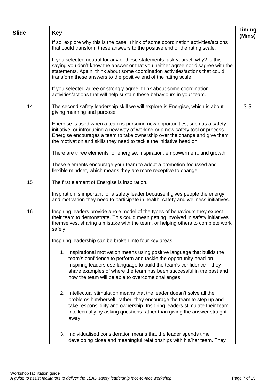| <b>Slide</b> | <b>Key</b>                                                                                                                                                                                                                                                                                                                                         | <b>Timing</b><br>(Mins) |
|--------------|----------------------------------------------------------------------------------------------------------------------------------------------------------------------------------------------------------------------------------------------------------------------------------------------------------------------------------------------------|-------------------------|
|              | If so, explore why this is the case. Think of some coordination activities/actions<br>that could transform these answers to the positive end of the rating scale.                                                                                                                                                                                  |                         |
|              | If you selected neutral for any of these statements, ask yourself why? Is this<br>saying you don't know the answer or that you neither agree nor disagree with the<br>statements. Again, think about some coordination activities/actions that could<br>transform these answers to the positive end of the rating scale.                           |                         |
|              | If you selected agree or strongly agree, think about some coordination<br>activities/actions that will help sustain these behaviours in your team.                                                                                                                                                                                                 |                         |
| 14           | The second safety leadership skill we will explore is Energise, which is about<br>giving meaning and purpose.                                                                                                                                                                                                                                      | $3-5$                   |
|              | Energise is used when a team is pursuing new opportunities, such as a safety<br>initiative, or introducing a new way of working or a new safety tool or process.<br>Energise encourages a team to take ownership over the change and give them<br>the motivation and skills they need to tackle the initiative head on.                            |                         |
|              | There are three elements for energise: inspiration, empowerment, and growth.                                                                                                                                                                                                                                                                       |                         |
|              | These elements encourage your team to adopt a promotion-focussed and<br>flexible mindset, which means they are more receptive to change.                                                                                                                                                                                                           |                         |
| 15           | The first element of Energise is inspiration.                                                                                                                                                                                                                                                                                                      |                         |
|              | Inspiration is important for a safety leader because it gives people the energy<br>and motivation they need to participate in health, safety and wellness initiatives.                                                                                                                                                                             |                         |
| 16           | Inspiring leaders provide a role model of the types of behaviours they expect<br>their team to demonstrate. This could mean getting involved in safety initiatives<br>themselves, sharing a mistake with the team, or helping others to complete work<br>safely.                                                                                   |                         |
|              | Inspiring leadership can be broken into four key areas.                                                                                                                                                                                                                                                                                            |                         |
|              | 1. Inspirational motivation means using positive language that builds the<br>team's confidence to perform and tackle the opportunity head-on.<br>Inspiring leaders use language to build the team's confidence - they<br>share examples of where the team has been successful in the past and<br>how the team will be able to overcome challenges. |                         |
|              | 2. Intellectual stimulation means that the leader doesn't solve all the<br>problems him/herself, rather, they encourage the team to step up and<br>take responsibility and ownership. Inspiring leaders stimulate their team<br>intellectually by asking questions rather than giving the answer straight<br>away.                                 |                         |
|              | 3. Individualised consideration means that the leader spends time<br>developing close and meaningful relationships with his/her team. They                                                                                                                                                                                                         |                         |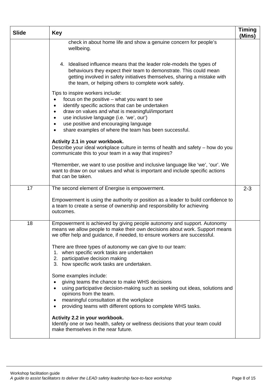| <b>Slide</b> | <b>Key</b>                                                                                                                                                                                                                                                                                                                                                                   | <b>Timing</b><br>(Mins) |
|--------------|------------------------------------------------------------------------------------------------------------------------------------------------------------------------------------------------------------------------------------------------------------------------------------------------------------------------------------------------------------------------------|-------------------------|
|              | check in about home life and show a genuine concern for people's<br>wellbeing.                                                                                                                                                                                                                                                                                               |                         |
|              | 4. Idealised influence means that the leader role-models the types of<br>behaviours they expect their team to demonstrate. This could mean<br>getting involved in safety initiatives themselves, sharing a mistake with<br>the team, or helping others to complete work safely.                                                                                              |                         |
|              | Tips to inspire workers include:<br>focus on the positive – what you want to see<br>$\bullet$<br>identify specific actions that can be undertaken<br>$\bullet$<br>draw on values and what is meaningful/important<br>$\bullet$<br>use inclusive language (i.e. 'we', our')<br>use positive and encouraging language<br>share examples of where the team has been successful. |                         |
|              | Activity 2.1 in your workbook.<br>Describe your ideal workplace culture in terms of health and safety – how do you<br>communicate this to your team in a way that inspires?                                                                                                                                                                                                  |                         |
|              | *Remember, we want to use positive and inclusive language like 'we', 'our'. We<br>want to draw on our values and what is important and include specific actions<br>that can be taken.                                                                                                                                                                                        |                         |
| 17           | The second element of Energise is empowerment.                                                                                                                                                                                                                                                                                                                               | $2 - 3$                 |
|              | Empowerment is using the authority or position as a leader to build confidence to<br>a team to create a sense of ownership and responsibility for achieving<br>outcomes.                                                                                                                                                                                                     |                         |
| 18           | Empowerment is achieved by giving people autonomy and support. Autonomy<br>means we allow people to make their own decisions about work. Support means<br>we offer help and guidance, if needed, to ensure workers are successful.                                                                                                                                           |                         |
|              | There are three types of autonomy we can give to our team:<br>1. when specific work tasks are undertaken<br>2. participative decision making<br>3. how specific work tasks are undertaken.                                                                                                                                                                                   |                         |
|              | Some examples include:<br>giving teams the chance to make WHS decisions<br>using participative decision-making such as seeking out ideas, solutions and<br>opinions from the team.<br>meaningful consultation at the workplace<br>providing teams with different options to complete WHS tasks.<br>$\bullet$                                                                 |                         |
|              | Activity 2.2 in your workbook.<br>Identify one or two health, safety or wellness decisions that your team could<br>make themselves in the near future.                                                                                                                                                                                                                       |                         |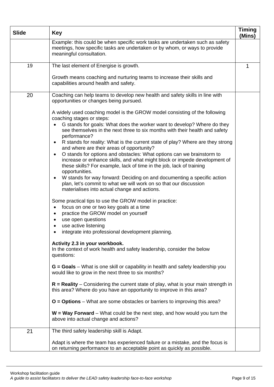| <b>Slide</b> | <b>Key</b>                                                                                                                                                                                                                                                                                                                                                                                                                                                                                                                                                                                                                                                                                                                                                                                                                                                                                              | <b>Timing</b><br>(Mins) |
|--------------|---------------------------------------------------------------------------------------------------------------------------------------------------------------------------------------------------------------------------------------------------------------------------------------------------------------------------------------------------------------------------------------------------------------------------------------------------------------------------------------------------------------------------------------------------------------------------------------------------------------------------------------------------------------------------------------------------------------------------------------------------------------------------------------------------------------------------------------------------------------------------------------------------------|-------------------------|
|              | Example: this could be when specific work tasks are undertaken such as safety<br>meetings, how specific tasks are undertaken or by whom, or ways to provide<br>meaningful consultation.                                                                                                                                                                                                                                                                                                                                                                                                                                                                                                                                                                                                                                                                                                                 |                         |
| 19           | The last element of Energise is growth.                                                                                                                                                                                                                                                                                                                                                                                                                                                                                                                                                                                                                                                                                                                                                                                                                                                                 | 1                       |
|              | Growth means coaching and nurturing teams to increase their skills and<br>capabilities around health and safety.                                                                                                                                                                                                                                                                                                                                                                                                                                                                                                                                                                                                                                                                                                                                                                                        |                         |
| 20           | Coaching can help teams to develop new health and safety skills in line with<br>opportunities or changes being pursued.                                                                                                                                                                                                                                                                                                                                                                                                                                                                                                                                                                                                                                                                                                                                                                                 |                         |
|              | A widely used coaching model is the GROW model consisting of the following<br>coaching stages or steps:<br>G stands for goals: What does the worker want to develop? Where do they<br>see themselves in the next three to six months with their health and safety<br>performance?<br>R stands for reality: What is the current state of play? Where are they strong<br>$\bullet$<br>and where are their areas of opportunity?<br>O stands for options and obstacles: What options can we brainstorm to<br>$\bullet$<br>increase or enhance skills, and what might block or impede development of<br>these skills? For example, lack of time in the job, lack of training<br>opportunities.<br>W stands for way forward: Deciding on and documenting a specific action<br>$\bullet$<br>plan, let's commit to what we will work on so that our discussion<br>materialises into actual change and actions. |                         |
|              | Some practical tips to use the GROW model in practice:<br>focus on one or two key goals at a time<br>$\bullet$<br>practice the GROW model on yourself<br>$\bullet$<br>use open questions<br>$\bullet$<br>use active listening<br>integrate into professional development planning.                                                                                                                                                                                                                                                                                                                                                                                                                                                                                                                                                                                                                      |                         |
|              | Activity 2.3 in your workbook.<br>In the context of work health and safety leadership, consider the below<br>questions:                                                                                                                                                                                                                                                                                                                                                                                                                                                                                                                                                                                                                                                                                                                                                                                 |                         |
|              | $G =$ Goals – What is one skill or capability in health and safety leadership you<br>would like to grow in the next three to six months?                                                                                                                                                                                                                                                                                                                                                                                                                                                                                                                                                                                                                                                                                                                                                                |                         |
|              | $R =$ Reality – Considering the current state of play, what is your main strength in<br>this area? Where do you have an opportunity to improve in this area?                                                                                                                                                                                                                                                                                                                                                                                                                                                                                                                                                                                                                                                                                                                                            |                         |
|              | $O =$ Options – What are some obstacles or barriers to improving this area?                                                                                                                                                                                                                                                                                                                                                                                                                                                                                                                                                                                                                                                                                                                                                                                                                             |                         |
|              | $W = Way Forward - What could be the next step, and how would you turn the$<br>above into actual change and actions?                                                                                                                                                                                                                                                                                                                                                                                                                                                                                                                                                                                                                                                                                                                                                                                    |                         |
| 21           | The third safety leadership skill is Adapt.                                                                                                                                                                                                                                                                                                                                                                                                                                                                                                                                                                                                                                                                                                                                                                                                                                                             |                         |
|              | Adapt is where the team has experienced failure or a mistake, and the focus is<br>on returning performance to an acceptable point as quickly as possible.                                                                                                                                                                                                                                                                                                                                                                                                                                                                                                                                                                                                                                                                                                                                               |                         |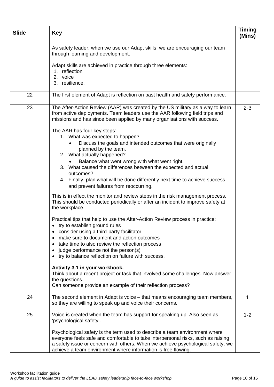| <b>Slide</b> | <b>Key</b>                                                                                                                                                                                                                                                                                                                                                                                                                                                                                                                                                      | <b>Timing</b><br>(Mins) |
|--------------|-----------------------------------------------------------------------------------------------------------------------------------------------------------------------------------------------------------------------------------------------------------------------------------------------------------------------------------------------------------------------------------------------------------------------------------------------------------------------------------------------------------------------------------------------------------------|-------------------------|
|              | As safety leader, when we use our Adapt skills, we are encouraging our team<br>through learning and development.                                                                                                                                                                                                                                                                                                                                                                                                                                                |                         |
|              | Adapt skills are achieved in practice through three elements:<br>1. reflection<br>2. voice<br>3. resilience.                                                                                                                                                                                                                                                                                                                                                                                                                                                    |                         |
| 22           | The first element of Adapt is reflection on past health and safety performance.                                                                                                                                                                                                                                                                                                                                                                                                                                                                                 |                         |
| 23           | The After-Action Review (AAR) was created by the US military as a way to learn<br>from active deployments. Team leaders use the AAR following field trips and<br>missions and has since been applied by many organisations with success.                                                                                                                                                                                                                                                                                                                        | $2 - 3$                 |
|              | The AAR has four key steps:<br>1. What was expected to happen?<br>Discuss the goals and intended outcomes that were originally<br>planned by the team.<br>2. What actually happened?<br>Balance what went wrong with what went right.<br>3. What caused the differences between the expected and actual<br>outcomes?<br>4. Finally, plan what will be done differently next time to achieve success<br>and prevent failures from reoccurring.                                                                                                                   |                         |
|              | This is in effect the monitor and review steps in the risk management process.<br>This should be conducted periodically or after an incident to improve safety at<br>the workplace.                                                                                                                                                                                                                                                                                                                                                                             |                         |
|              | Practical tips that help to use the After-Action Review process in practice:<br>• try to establish ground rules<br>• consider using a third-party facilitator<br>make sure to document and action outcomes<br>take time to also review the reflection process<br>judge performance not the person(s)<br>try to balance reflection on failure with success.<br>Activity 3.1 in your workbook.<br>Think about a recent project or task that involved some challenges. Now answer<br>the questions.<br>Can someone provide an example of their reflection process? |                         |
| 24           | The second element in Adapt is voice – that means encouraging team members,<br>so they are willing to speak up and voice their concerns.                                                                                                                                                                                                                                                                                                                                                                                                                        |                         |
| 25           | Voice is created when the team has support for speaking up. Also seen as<br>'psychological safety'.<br>Psychological safety is the term used to describe a team environment where                                                                                                                                                                                                                                                                                                                                                                               | $1 - 2$                 |
|              | everyone feels safe and comfortable to take interpersonal risks, such as raising<br>a safety issue or concern with others. When we achieve psychological safety, we<br>achieve a team environment where information is free flowing.                                                                                                                                                                                                                                                                                                                            |                         |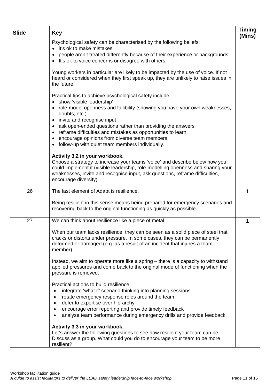| <b>Slide</b> | <b>Key</b>                                                                                                                                                                                                                                                                                                                                                                                          | <b>Timing</b><br>(Mins) |
|--------------|-----------------------------------------------------------------------------------------------------------------------------------------------------------------------------------------------------------------------------------------------------------------------------------------------------------------------------------------------------------------------------------------------------|-------------------------|
|              | Psychological safety can be characterised by the following beliefs:<br>it's ok to make mistakes<br>people aren't treated differently because of their experience or backgrounds<br>It's ok to voice concerns or disagree with others.                                                                                                                                                               |                         |
|              | Young workers in particular are likely to be impacted by the use of voice. If not<br>heard or considered when they first speak up, they are unlikely to raise issues in<br>the future.                                                                                                                                                                                                              |                         |
|              | Practical tips to achieve psychological safety include:<br>show 'visible leadership'<br>role-model openness and fallibility (showing you have your own weaknesses,<br>doubts, etc.)<br>invite and recognise input<br>٠<br>ask open-ended questions rather than providing the answers<br>reframe difficulties and mistakes as opportunities to learn<br>encourage opinions from diverse team members |                         |
|              | follow-up with quiet team members individually.<br>Activity 3.2 in your workbook.<br>Choose a strategy to increase your teams 'voice' and describe below how you<br>could implement it (visible leadership, role-modelling openness and sharing your<br>weaknesses, invite and recognise input, ask questions, reframe difficulties,<br>encourage diversity).                                       |                         |
| 26           | The last element of Adapt is resilience.                                                                                                                                                                                                                                                                                                                                                            | 1                       |
|              | Being resilient in this sense means being prepared for emergency scenarios and<br>recovering back to the original functioning as quickly as possible.                                                                                                                                                                                                                                               |                         |
| 27           | We can think about resilience like a piece of metal.                                                                                                                                                                                                                                                                                                                                                | 1                       |
|              | When our team lacks resilience, they can be seen as a solid piece of steel that<br>cracks or distorts under pressure. In some cases, they can be permanently<br>deformed or damaged (e.g. as a result of an incident that injures a team<br>member).<br>Instead, we aim to operate more like a spring – there is a capacity to withstand                                                            |                         |
|              | applied pressures and come back to the original mode of functioning when the<br>pressure is removed.                                                                                                                                                                                                                                                                                                |                         |
|              | Practical actions to build resilience:<br>integrate 'what if' scenario thinking into planning sessions<br>rotate emergency response roles around the team<br>defer to expertise over hierarchy<br>encourage error reporting and provide timely feedback<br>analyse team performance during emergency drills and provide feedback.                                                                   |                         |
|              | Activity 3.3 in your workbook.<br>Let's answer the following questions to see how resilient your team can be.<br>Discuss as a group. What could you do to encourage your team to be more<br>resilient?                                                                                                                                                                                              |                         |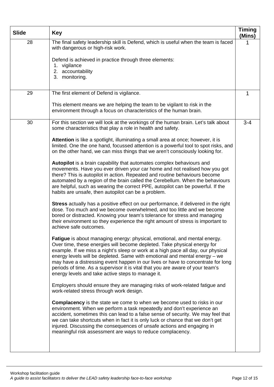| <b>Slide</b> | <b>Key</b>                                                                                                                                                                                                                                                                                                                                                                                                                                                                                                                                         | <b>Timing</b><br>(Mins) |
|--------------|----------------------------------------------------------------------------------------------------------------------------------------------------------------------------------------------------------------------------------------------------------------------------------------------------------------------------------------------------------------------------------------------------------------------------------------------------------------------------------------------------------------------------------------------------|-------------------------|
| 28           | The final safety leadership skill is Defend, which is useful when the team is faced<br>with dangerous or high-risk work.                                                                                                                                                                                                                                                                                                                                                                                                                           |                         |
|              | Defend is achieved in practice through three elements:<br>1. vigilance                                                                                                                                                                                                                                                                                                                                                                                                                                                                             |                         |
|              | 2. accountability<br>3. monitoring.                                                                                                                                                                                                                                                                                                                                                                                                                                                                                                                |                         |
|              |                                                                                                                                                                                                                                                                                                                                                                                                                                                                                                                                                    |                         |
| 29           | The first element of Defend is vigilance.                                                                                                                                                                                                                                                                                                                                                                                                                                                                                                          | 1                       |
|              | This element means we are helping the team to be vigilant to risk in the<br>environment through a focus on characteristics of the human brain.                                                                                                                                                                                                                                                                                                                                                                                                     |                         |
| 30           | For this section we will look at the workings of the human brain. Let's talk about<br>some characteristics that play a role in health and safety.                                                                                                                                                                                                                                                                                                                                                                                                  | $3 - 4$                 |
|              | Attention is like a spotlight, illuminating a small area at once; however, it is<br>limited. One the one hand, focussed attention is a powerful tool to spot risks, and<br>on the other hand, we can miss things that we aren't consciously looking for.                                                                                                                                                                                                                                                                                           |                         |
|              | Autopilot is a brain capability that automates complex behaviours and<br>movements. Have you ever driven your car home and not realised how you got<br>there? This is autopilot in action. Repeated and routine behaviours become<br>automated by a region of the brain called the Cerebellum. When the behaviours<br>are helpful, such as wearing the correct PPE, autopilot can be powerful. If the<br>habits are unsafe, then autopilot can be a problem.                                                                                       |                         |
|              | <b>Stress</b> actually has a positive effect on our performance, if delivered in the right<br>dose. Too much and we become overwhelmed, and too little and we become<br>bored or distracted. Knowing your team's tolerance for stress and managing<br>their environment so they experience the right amount of stress is important to<br>achieve safe outcomes.                                                                                                                                                                                    |                         |
|              | Fatigue is about managing energy: physical, emotional, and mental energy.<br>Over time, these energies will become depleted. Take physical energy for<br>example. If we miss a night's sleep or work at a high pace all day, our physical<br>energy levels will be depleted. Same with emotional and mental energy - we<br>may have a distressing event happen in our lives or have to concentrate for long<br>periods of time. As a supervisor it is vital that you are aware of your team's<br>energy levels and take active steps to manage it. |                         |
|              | Employers should ensure they are managing risks of work-related fatigue and<br>work-related stress through work design.                                                                                                                                                                                                                                                                                                                                                                                                                            |                         |
|              | Complacency is the state we come to when we become used to risks in our<br>environment. When we perform a task repeatedly and don't experience an<br>accident, sometimes this can lead to a false sense of security. We may feel that<br>we can take shortcuts when in fact it is only luck or chance that we don't get<br>injured. Discussing the consequences of unsafe actions and engaging in<br>meaningful risk assessment are ways to reduce complacency.                                                                                    |                         |
|              |                                                                                                                                                                                                                                                                                                                                                                                                                                                                                                                                                    |                         |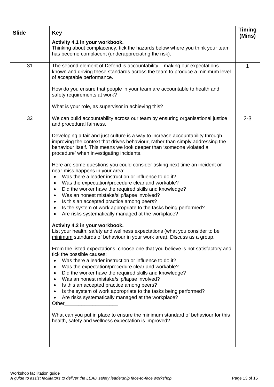| <b>Slide</b> | <b>Key</b>                                                                                                                                                                                                                                                                                                                                                                                                                                                                                                                                                                            | Timing<br>(Mins) |
|--------------|---------------------------------------------------------------------------------------------------------------------------------------------------------------------------------------------------------------------------------------------------------------------------------------------------------------------------------------------------------------------------------------------------------------------------------------------------------------------------------------------------------------------------------------------------------------------------------------|------------------|
|              | Activity 4.1 in your workbook.<br>Thinking about complacency, tick the hazards below where you think your team<br>has become complacent (underappreciating the risk).                                                                                                                                                                                                                                                                                                                                                                                                                 |                  |
| 31           | The second element of Defend is accountability - making our expectations<br>known and driving these standards across the team to produce a minimum level<br>of acceptable performance.                                                                                                                                                                                                                                                                                                                                                                                                | 1                |
|              | How do you ensure that people in your team are accountable to health and<br>safety requirements at work?                                                                                                                                                                                                                                                                                                                                                                                                                                                                              |                  |
|              | What is your role, as supervisor in achieving this?                                                                                                                                                                                                                                                                                                                                                                                                                                                                                                                                   |                  |
| 32           | We can build accountability across our team by ensuring organisational justice<br>and procedural fairness.                                                                                                                                                                                                                                                                                                                                                                                                                                                                            | $2 - 3$          |
|              | Developing a fair and just culture is a way to increase accountability through<br>improving the context that drives behaviour, rather than simply addressing the<br>behaviour itself. This means we look deeper than 'someone violated a<br>procedure' when investigating incidents.                                                                                                                                                                                                                                                                                                  |                  |
|              | Here are some questions you could consider asking next time an incident or<br>near-miss happens in your area:<br>Was there a leader instruction or influence to do it?<br>$\bullet$<br>Was the expectation/procedure clear and workable?<br>٠<br>Did the worker have the required skills and knowledge?<br>$\bullet$<br>Was an honest mistake/slip/lapse involved?<br>٠<br>Is this an accepted practice among peers?<br>$\bullet$<br>Is the system of work appropriate to the tasks being performed?<br>$\bullet$<br>Are risks systematically managed at the workplace?<br>$\bullet$  |                  |
|              | Activity 4.2 in your workbook.<br>List your health, safety and wellness expectations (what you consider to be<br>minimum standards of behaviour in your work area). Discuss as a group.                                                                                                                                                                                                                                                                                                                                                                                               |                  |
|              | From the listed expectations, choose one that you believe is not satisfactory and<br>tick the possible causes:<br>Was there a leader instruction or influence to do it?<br>$\bullet$<br>Was the expectation/procedure clear and workable?<br>٠<br>Did the worker have the required skills and knowledge?<br>$\bullet$<br>Was an honest mistake/slip/lapse involved?<br>$\bullet$<br>Is this an accepted practice among peers?<br>$\bullet$<br>Is the system of work appropriate to the tasks being performed?<br>$\bullet$<br>Are risks systematically managed at the workplace?<br>٠ |                  |
|              | What can you put in place to ensure the minimum standard of behaviour for this<br>health, safety and wellness expectation is improved?                                                                                                                                                                                                                                                                                                                                                                                                                                                |                  |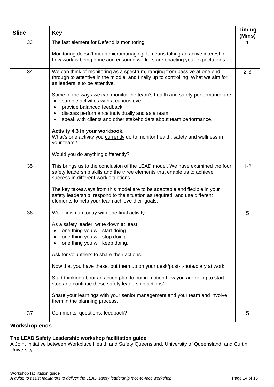| <b>Slide</b> | <b>Key</b>                                                                                                                                                                                                  | <b>Timing</b><br>(Mins) |
|--------------|-------------------------------------------------------------------------------------------------------------------------------------------------------------------------------------------------------------|-------------------------|
| 33           | The last element for Defend is monitoring.                                                                                                                                                                  |                         |
|              | Monitoring doesn't mean micromanaging. It means taking an active interest in<br>how work is being done and ensuring workers are enacting your expectations.                                                 |                         |
| 34           | We can think of monitoring as a spectrum, ranging from passive at one end,<br>through to attentive in the middle, and finally up to controlling. What we aim for<br>as leaders is to be attentive.          | $2 - 3$                 |
|              | Some of the ways we can monitor the team's health and safety performance are:<br>sample activities with a curious eye<br>provide balanced feedback                                                          |                         |
|              | discuss performance individually and as a team<br>٠<br>speak with clients and other stakeholders about team performance.                                                                                    |                         |
|              | Activity 4.3 in your workbook.<br>What's one activity you currently do to monitor health, safety and wellness in<br>your team?                                                                              |                         |
|              | Would you do anything differently?                                                                                                                                                                          |                         |
| 35           | This brings us to the conclusion of the LEAD model. We have examined the four<br>safety leadership skills and the three elements that enable us to achieve<br>success in different work situations.         | $1 - 2$                 |
|              | The key takeaways from this model are to be adaptable and flexible in your<br>safety leadership, respond to the situation as required, and use different<br>elements to help your team achieve their goals. |                         |
| 36           | We'll finish up today with one final activity.                                                                                                                                                              | 5                       |
|              | As a safety leader, write down at least:                                                                                                                                                                    |                         |
|              | one thing you will start doing<br>one thing you will stop doing                                                                                                                                             |                         |
|              | one thing you will keep doing.                                                                                                                                                                              |                         |
|              | Ask for volunteers to share their actions.                                                                                                                                                                  |                         |
|              | Now that you have these, put them up on your desk/post-it-note/diary at work.                                                                                                                               |                         |
|              | Start thinking about an action plan to put in motion how you are going to start,<br>stop and continue these safety leadership actions?                                                                      |                         |
|              | Share your learnings with your senior management and your team and involve<br>them in the planning process.                                                                                                 |                         |
| 37           | Comments, questions, feedback?                                                                                                                                                                              | 5                       |
| $M_{\odot}$  |                                                                                                                                                                                                             |                         |

### **Workshop ends**

#### **The LEAD Safety Leadership workshop facilitation guide**

A Joint Initiative between Workplace Health and Safety Queensland, University of Queensland, and Curtin **University**